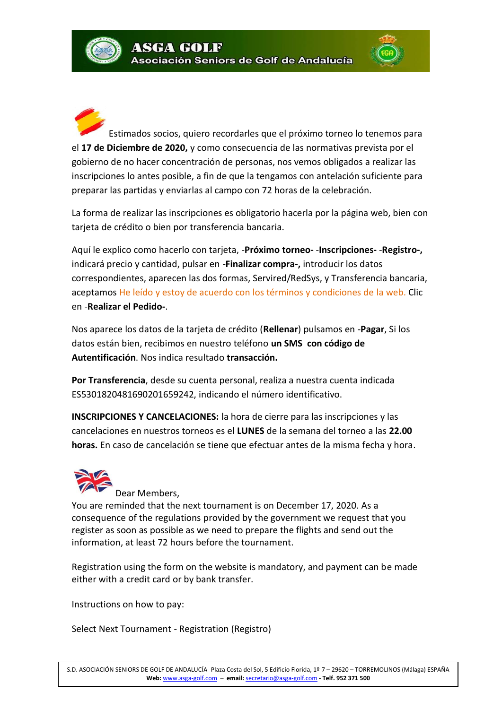Estimados socios, quiero recordarles que el próximo torneo lo tenemos para el **17 de Diciembre de 2020,** y como consecuencia de las normativas prevista por el gobierno de no hacer concentración de personas, nos vemos obligados a realizar las inscripciones lo antes posible, a fin de que la tengamos con antelación suficiente para preparar las partidas y enviarlas al campo con 72 horas de la celebración.

La forma de realizar las inscripciones es obligatorio hacerla por la página web, bien con tarjeta de crédito o bien por transferencia bancaria.

Aquí le explico como hacerlo con tarjeta, -**Próximo torneo-** -**Inscripciones-** -**Registro-,** indicará precio y cantidad, pulsar en -**Finalizar compra-,** introducir los datos correspondientes, aparecen las dos formas, Servired/RedSys, y Transferencia bancaria, aceptamos He leído y estoy de acuerdo con los términos y condiciones de la web. Clic en -**Realizar el Pedido-**.

Nos aparece los datos de la tarjeta de crédito (**Rellenar**) pulsamos en -**Pagar**, Si los datos están bien, recibimos en nuestro teléfono **un SMS con código de Autentificación**. Nos indica resultado **transacción.**

**Por Transferencia**, desde su cuenta personal, realiza a nuestra cuenta indicada ES5301820481690201659242, indicando el número identificativo.

**INSCRIPCIONES Y CANCELACIONES:** la hora de cierre para las inscripciones y las cancelaciones en nuestros torneos es el **LUNES** de la semana del torneo a las **22.00 horas.** En caso de cancelación se tiene que efectuar antes de la misma fecha y hora.



Dear Members,

You are reminded that the next tournament is on December 17, 2020. As a consequence of the regulations provided by the government we request that you register as soon as possible as we need to prepare the flights and send out the information, at least 72 hours before the tournament.

Registration using the form on the website is mandatory, and payment can be made either with a credit card or by bank transfer.

Instructions on how to pay:

Select Next Tournament - Registration (Registro)

S.D. ASOCIACIÓN SENIORS DE GOLF DE ANDALUCÍA- Plaza Costa del Sol, 5 Edificio Florida, 1º-7 – 29620 – TORREMOLINOS (Málaga) ESPAÑA **Web:** [www.asga-golf.com](http://www.asga-golf-com/) – **email:** [secretario@asga-golf.com](mailto:secretario@asga-golf.com) - **Telf. 952 371 500**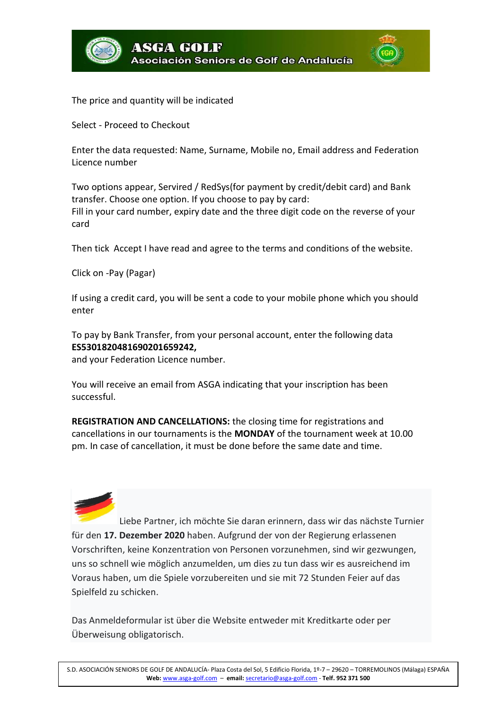



The price and quantity will be indicated

Select - Proceed to Checkout

Enter the data requested: Name, Surname, Mobile no, Email address and Federation Licence number

Two options appear, Servired / RedSys(for payment by credit/debit card) and Bank transfer. Choose one option. If you choose to pay by card: Fill in your card number, expiry date and the three digit code on the reverse of your card

Then tick Accept I have read and agree to the terms and conditions of the website.

Click on -Pay (Pagar)

If using a credit card, you will be sent a code to your mobile phone which you should enter

To pay by Bank Transfer, from your personal account, enter the following data **ES5301820481690201659242,**

and your Federation Licence number.

You will receive an email from ASGA indicating that your inscription has been successful.

**REGISTRATION AND CANCELLATIONS:** the closing time for registrations and cancellations in our tournaments is the **MONDAY** of the tournament week at 10.00 pm. In case of cancellation, it must be done before the same date and time.



Liebe Partner, ich möchte Sie daran erinnern, dass wir das nächste Turnier für den **17. Dezember 2020** haben. Aufgrund der von der Regierung erlassenen Vorschriften, keine Konzentration von Personen vorzunehmen, sind wir gezwungen, uns so schnell wie möglich anzumelden, um dies zu tun dass wir es ausreichend im Voraus haben, um die Spiele vorzubereiten und sie mit 72 Stunden Feier auf das Spielfeld zu schicken.

Das Anmeldeformular ist über die Website entweder mit Kreditkarte oder per Überweisung obligatorisch.

S.D. ASOCIACIÓN SENIORS DE GOLF DE ANDALUCÍA- Plaza Costa del Sol, 5 Edificio Florida, 1º-7 – 29620 – TORREMOLINOS (Málaga) ESPAÑA **Web:** [www.asga-golf.com](http://www.asga-golf-com/) – **email:** [secretario@asga-golf.com](mailto:secretario@asga-golf.com) - **Telf. 952 371 500**